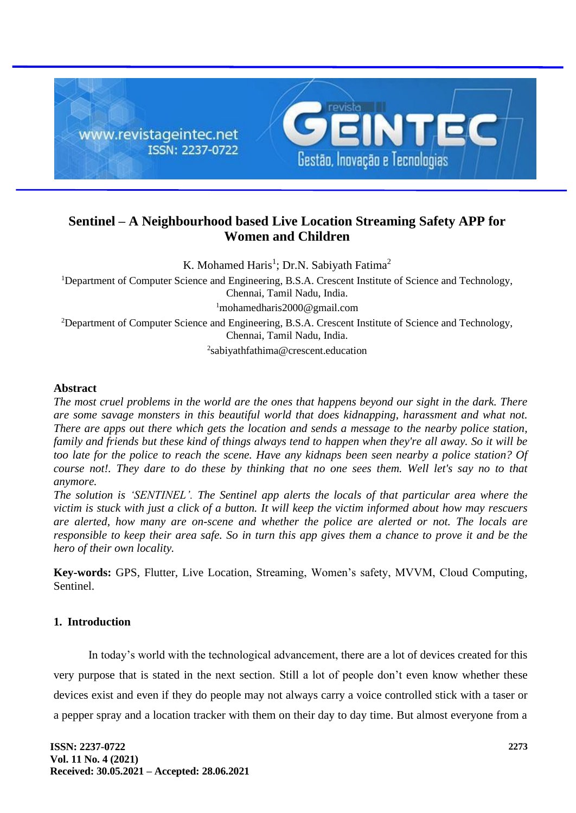

# **Sentinel – A Neighbourhood based Live Location Streaming Safety APP for Women and Children**

K. Mohamed Haris<sup>1</sup>; Dr.N. Sabiyath Fatima<sup>2</sup>

<sup>1</sup>Department of Computer Science and Engineering, B.S.A. Crescent Institute of Science and Technology, Chennai, Tamil Nadu, India. <sup>1</sup>mohamedharis2000@gmail.com <sup>2</sup>Department of Computer Science and Engineering, B.S.A. Crescent Institute of Science and Technology, Chennai, Tamil Nadu, India.

2 sabiyathfathima@crescent.education

## **Abstract**

*The most cruel problems in the world are the ones that happens beyond our sight in the dark. There are some savage monsters in this beautiful world that does kidnapping, harassment and what not. There are apps out there which gets the location and sends a message to the nearby police station, family and friends but these kind of things always tend to happen when they're all away. So it will be too late for the police to reach the scene. Have any kidnaps been seen nearby a police station? Of course not!. They dare to do these by thinking that no one sees them. Well let's say no to that anymore.*

*The solution is 'SENTINEL'. The Sentinel app alerts the locals of that particular area where the victim is stuck with just a click of a button. It will keep the victim informed about how may rescuers are alerted, how many are on-scene and whether the police are alerted or not. The locals are responsible to keep their area safe. So in turn this app gives them a chance to prove it and be the hero of their own locality.*

**Key-words:** GPS, Flutter, Live Location, Streaming, Women's safety, MVVM, Cloud Computing, Sentinel.

# **1. Introduction**

In today's world with the technological advancement, there are a lot of devices created for this very purpose that is stated in the next section. Still a lot of people don't even know whether these devices exist and even if they do people may not always carry a voice controlled stick with a taser or a pepper spray and a location tracker with them on their day to day time. But almost everyone from a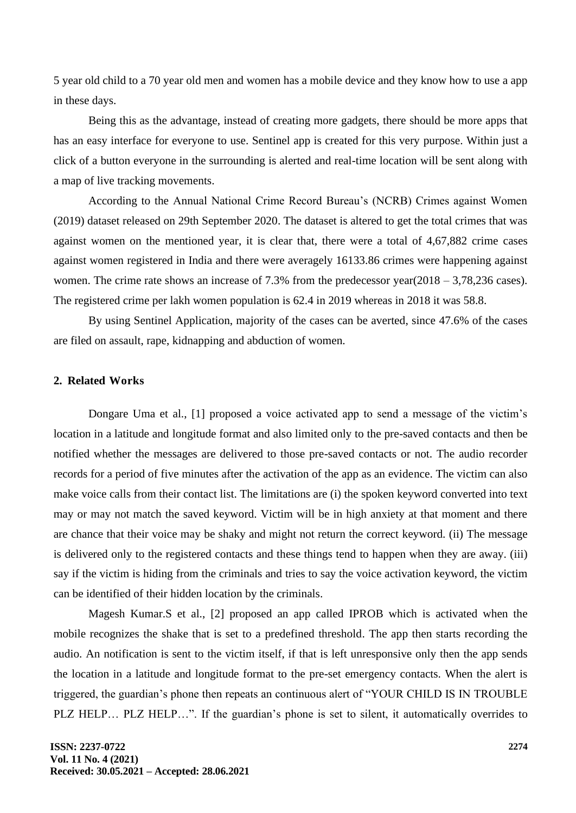5 year old child to a 70 year old men and women has a mobile device and they know how to use a app in these days.

Being this as the advantage, instead of creating more gadgets, there should be more apps that has an easy interface for everyone to use. Sentinel app is created for this very purpose. Within just a click of a button everyone in the surrounding is alerted and real-time location will be sent along with a map of live tracking movements.

According to the Annual National Crime Record Bureau's (NCRB) Crimes against Women (2019) dataset released on 29th September 2020. The dataset is altered to get the total crimes that was against women on the mentioned year, it is clear that, there were a total of 4,67,882 crime cases against women registered in India and there were averagely 16133.86 crimes were happening against women. The crime rate shows an increase of 7.3% from the predecessor year(2018 – 3,78,236 cases). The registered crime per lakh women population is 62.4 in 2019 whereas in 2018 it was 58.8.

By using Sentinel Application, majority of the cases can be averted, since 47.6% of the cases are filed on assault, rape, kidnapping and abduction of women.

## **2. Related Works**

Dongare Uma et al., [1] proposed a voice activated app to send a message of the victim's location in a latitude and longitude format and also limited only to the pre-saved contacts and then be notified whether the messages are delivered to those pre-saved contacts or not. The audio recorder records for a period of five minutes after the activation of the app as an evidence. The victim can also make voice calls from their contact list. The limitations are (i) the spoken keyword converted into text may or may not match the saved keyword. Victim will be in high anxiety at that moment and there are chance that their voice may be shaky and might not return the correct keyword. (ii) The message is delivered only to the registered contacts and these things tend to happen when they are away. (iii) say if the victim is hiding from the criminals and tries to say the voice activation keyword, the victim can be identified of their hidden location by the criminals.

Magesh Kumar.S et al., [2] proposed an app called IPROB which is activated when the mobile recognizes the shake that is set to a predefined threshold. The app then starts recording the audio. An notification is sent to the victim itself, if that is left unresponsive only then the app sends the location in a latitude and longitude format to the pre-set emergency contacts. When the alert is triggered, the guardian's phone then repeats an continuous alert of "YOUR CHILD IS IN TROUBLE PLZ HELP… PLZ HELP…". If the guardian's phone is set to silent, it automatically overrides to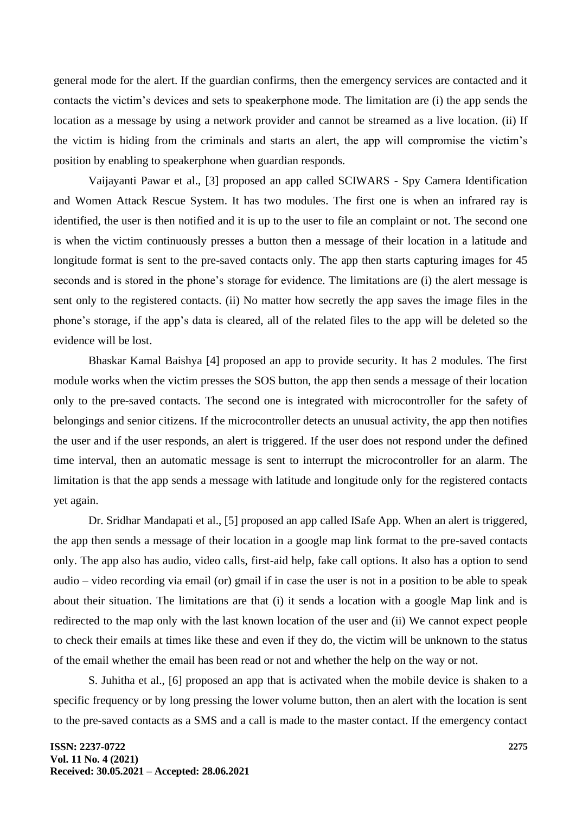general mode for the alert. If the guardian confirms, then the emergency services are contacted and it contacts the victim's devices and sets to speakerphone mode. The limitation are (i) the app sends the location as a message by using a network provider and cannot be streamed as a live location. (ii) If the victim is hiding from the criminals and starts an alert, the app will compromise the victim's position by enabling to speakerphone when guardian responds.

Vaijayanti Pawar et al., [3] proposed an app called SCIWARS - Spy Camera Identification and Women Attack Rescue System. It has two modules. The first one is when an infrared ray is identified, the user is then notified and it is up to the user to file an complaint or not. The second one is when the victim continuously presses a button then a message of their location in a latitude and longitude format is sent to the pre-saved contacts only. The app then starts capturing images for 45 seconds and is stored in the phone's storage for evidence. The limitations are (i) the alert message is sent only to the registered contacts. (ii) No matter how secretly the app saves the image files in the phone's storage, if the app's data is cleared, all of the related files to the app will be deleted so the evidence will be lost.

Bhaskar Kamal Baishya [4] proposed an app to provide security. It has 2 modules. The first module works when the victim presses the SOS button, the app then sends a message of their location only to the pre-saved contacts. The second one is integrated with microcontroller for the safety of belongings and senior citizens. If the microcontroller detects an unusual activity, the app then notifies the user and if the user responds, an alert is triggered. If the user does not respond under the defined time interval, then an automatic message is sent to interrupt the microcontroller for an alarm. The limitation is that the app sends a message with latitude and longitude only for the registered contacts yet again.

Dr. Sridhar Mandapati et al., [5] proposed an app called ISafe App. When an alert is triggered, the app then sends a message of their location in a google map link format to the pre-saved contacts only. The app also has audio, video calls, first-aid help, fake call options. It also has a option to send audio – video recording via email (or) gmail if in case the user is not in a position to be able to speak about their situation. The limitations are that (i) it sends a location with a google Map link and is redirected to the map only with the last known location of the user and (ii) We cannot expect people to check their emails at times like these and even if they do, the victim will be unknown to the status of the email whether the email has been read or not and whether the help on the way or not.

S. Juhitha et al., [6] proposed an app that is activated when the mobile device is shaken to a specific frequency or by long pressing the lower volume button, then an alert with the location is sent to the pre-saved contacts as a SMS and a call is made to the master contact. If the emergency contact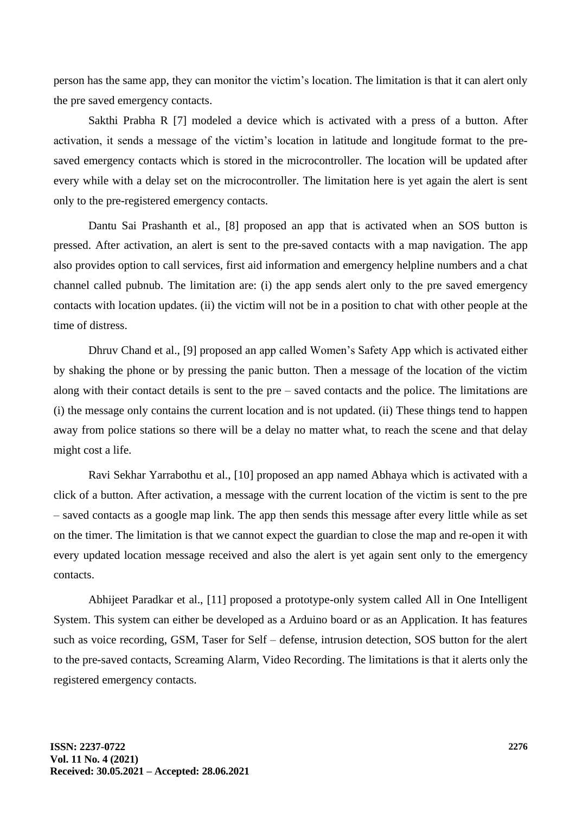person has the same app, they can monitor the victim's location. The limitation is that it can alert only the pre saved emergency contacts.

Sakthi Prabha R [7] modeled a device which is activated with a press of a button. After activation, it sends a message of the victim's location in latitude and longitude format to the presaved emergency contacts which is stored in the microcontroller. The location will be updated after every while with a delay set on the microcontroller. The limitation here is yet again the alert is sent only to the pre-registered emergency contacts.

Dantu Sai Prashanth et al., [8] proposed an app that is activated when an SOS button is pressed. After activation, an alert is sent to the pre-saved contacts with a map navigation. The app also provides option to call services, first aid information and emergency helpline numbers and a chat channel called pubnub. The limitation are: (i) the app sends alert only to the pre saved emergency contacts with location updates. (ii) the victim will not be in a position to chat with other people at the time of distress.

Dhruv Chand et al., [9] proposed an app called Women's Safety App which is activated either by shaking the phone or by pressing the panic button. Then a message of the location of the victim along with their contact details is sent to the pre – saved contacts and the police. The limitations are (i) the message only contains the current location and is not updated. (ii) These things tend to happen away from police stations so there will be a delay no matter what, to reach the scene and that delay might cost a life.

Ravi Sekhar Yarrabothu et al., [10] proposed an app named Abhaya which is activated with a click of a button. After activation, a message with the current location of the victim is sent to the pre – saved contacts as a google map link. The app then sends this message after every little while as set on the timer. The limitation is that we cannot expect the guardian to close the map and re-open it with every updated location message received and also the alert is yet again sent only to the emergency contacts.

Abhijeet Paradkar et al., [11] proposed a prototype-only system called All in One Intelligent System. This system can either be developed as a Arduino board or as an Application. It has features such as voice recording, GSM, Taser for Self – defense, intrusion detection, SOS button for the alert to the pre-saved contacts, Screaming Alarm, Video Recording. The limitations is that it alerts only the registered emergency contacts.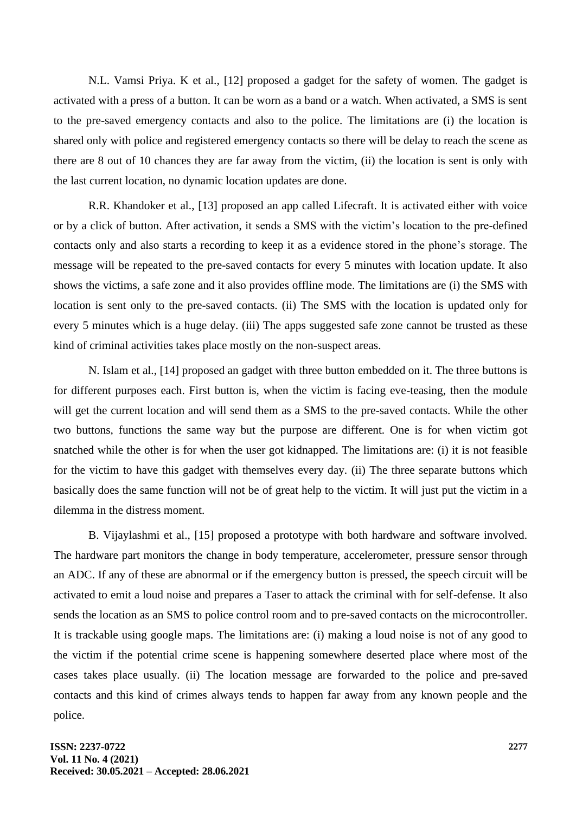N.L. Vamsi Priya. K et al., [12] proposed a gadget for the safety of women. The gadget is activated with a press of a button. It can be worn as a band or a watch. When activated, a SMS is sent to the pre-saved emergency contacts and also to the police. The limitations are (i) the location is shared only with police and registered emergency contacts so there will be delay to reach the scene as there are 8 out of 10 chances they are far away from the victim, (ii) the location is sent is only with the last current location, no dynamic location updates are done.

R.R. Khandoker et al., [13] proposed an app called Lifecraft. It is activated either with voice or by a click of button. After activation, it sends a SMS with the victim's location to the pre-defined contacts only and also starts a recording to keep it as a evidence stored in the phone's storage. The message will be repeated to the pre-saved contacts for every 5 minutes with location update. It also shows the victims, a safe zone and it also provides offline mode. The limitations are (i) the SMS with location is sent only to the pre-saved contacts. (ii) The SMS with the location is updated only for every 5 minutes which is a huge delay. (iii) The apps suggested safe zone cannot be trusted as these kind of criminal activities takes place mostly on the non-suspect areas.

N. Islam et al., [14] proposed an gadget with three button embedded on it. The three buttons is for different purposes each. First button is, when the victim is facing eve-teasing, then the module will get the current location and will send them as a SMS to the pre-saved contacts. While the other two buttons, functions the same way but the purpose are different. One is for when victim got snatched while the other is for when the user got kidnapped. The limitations are: (i) it is not feasible for the victim to have this gadget with themselves every day. (ii) The three separate buttons which basically does the same function will not be of great help to the victim. It will just put the victim in a dilemma in the distress moment.

B. Vijaylashmi et al., [15] proposed a prototype with both hardware and software involved. The hardware part monitors the change in body temperature, accelerometer, pressure sensor through an ADC. If any of these are abnormal or if the emergency button is pressed, the speech circuit will be activated to emit a loud noise and prepares a Taser to attack the criminal with for self-defense. It also sends the location as an SMS to police control room and to pre-saved contacts on the microcontroller. It is trackable using google maps. The limitations are: (i) making a loud noise is not of any good to the victim if the potential crime scene is happening somewhere deserted place where most of the cases takes place usually. (ii) The location message are forwarded to the police and pre-saved contacts and this kind of crimes always tends to happen far away from any known people and the police.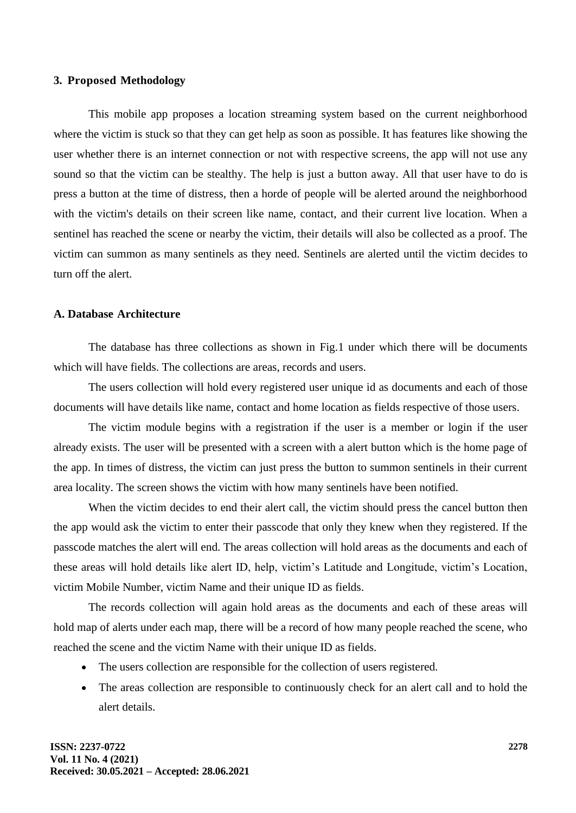#### **3. Proposed Methodology**

This mobile app proposes a location streaming system based on the current neighborhood where the victim is stuck so that they can get help as soon as possible. It has features like showing the user whether there is an internet connection or not with respective screens, the app will not use any sound so that the victim can be stealthy. The help is just a button away. All that user have to do is press a button at the time of distress, then a horde of people will be alerted around the neighborhood with the victim's details on their screen like name, contact, and their current live location. When a sentinel has reached the scene or nearby the victim, their details will also be collected as a proof. The victim can summon as many sentinels as they need. Sentinels are alerted until the victim decides to turn off the alert.

#### **A. Database Architecture**

The database has three collections as shown in Fig.1 under which there will be documents which will have fields. The collections are areas, records and users.

The users collection will hold every registered user unique id as documents and each of those documents will have details like name, contact and home location as fields respective of those users.

The victim module begins with a registration if the user is a member or login if the user already exists. The user will be presented with a screen with a alert button which is the home page of the app. In times of distress, the victim can just press the button to summon sentinels in their current area locality. The screen shows the victim with how many sentinels have been notified.

When the victim decides to end their alert call, the victim should press the cancel button then the app would ask the victim to enter their passcode that only they knew when they registered. If the passcode matches the alert will end. The areas collection will hold areas as the documents and each of these areas will hold details like alert ID, help, victim's Latitude and Longitude, victim's Location, victim Mobile Number, victim Name and their unique ID as fields.

The records collection will again hold areas as the documents and each of these areas will hold map of alerts under each map, there will be a record of how many people reached the scene, who reached the scene and the victim Name with their unique ID as fields.

- The users collection are responsible for the collection of users registered.
- The areas collection are responsible to continuously check for an alert call and to hold the alert details.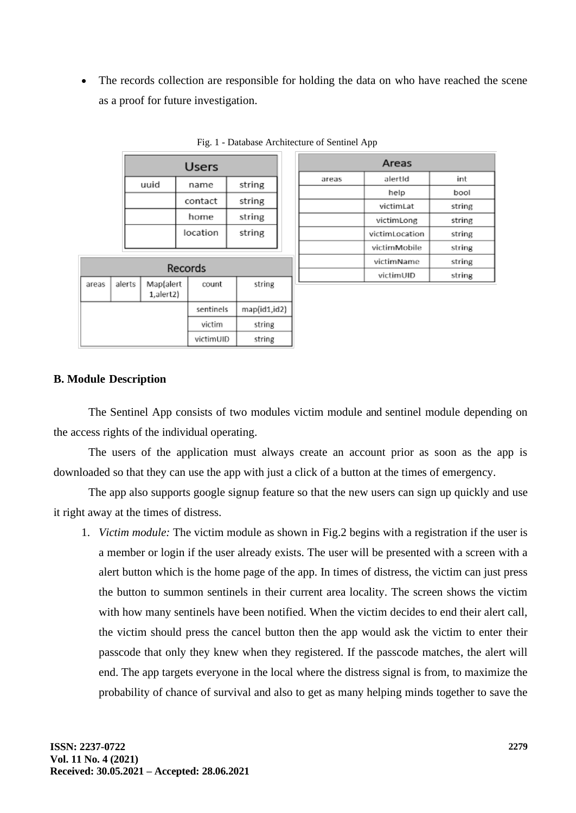The records collection are responsible for holding the data on who have reached the scene as a proof for future investigation.

| Users |          |        |  |  |  |
|-------|----------|--------|--|--|--|
| uuid  | name     | string |  |  |  |
|       | contact  | string |  |  |  |
|       | home     | string |  |  |  |
|       | location | string |  |  |  |

|  | Fig. 1 - Database Architecture of Sentinel App |  |
|--|------------------------------------------------|--|

| Records |        |                        |           |              |  |  |
|---------|--------|------------------------|-----------|--------------|--|--|
| areas   | alerts | Map(alert<br>1,alert2) | count     | string       |  |  |
|         |        |                        | sentinels | map(id1,id2) |  |  |
|         |        |                        | victim    | string       |  |  |
|         |        |                        | victimUID | string       |  |  |

| Areas |                |        |  |  |
|-------|----------------|--------|--|--|
| areas | alertId        |        |  |  |
|       | help           | bool   |  |  |
|       | victimLat      | string |  |  |
|       | victimLong     | string |  |  |
|       | victimLocation | string |  |  |
|       | victimMobile   | string |  |  |
|       | victimName     | string |  |  |
|       | victimUID      | string |  |  |

# **B. Module Description**

The Sentinel App consists of two modules victim module and sentinel module depending on the access rights of the individual operating.

The users of the application must always create an account prior as soon as the app is downloaded so that they can use the app with just a click of a button at the times of emergency.

The app also supports google signup feature so that the new users can sign up quickly and use it right away at the times of distress.

1. *Victim module:* The victim module as shown in Fig.2 begins with a registration if the user is a member or login if the user already exists. The user will be presented with a screen with a alert button which is the home page of the app. In times of distress, the victim can just press the button to summon sentinels in their current area locality. The screen shows the victim with how many sentinels have been notified. When the victim decides to end their alert call, the victim should press the cancel button then the app would ask the victim to enter their passcode that only they knew when they registered. If the passcode matches, the alert will end. The app targets everyone in the local where the distress signal is from, to maximize the probability of chance of survival and also to get as many helping minds together to save the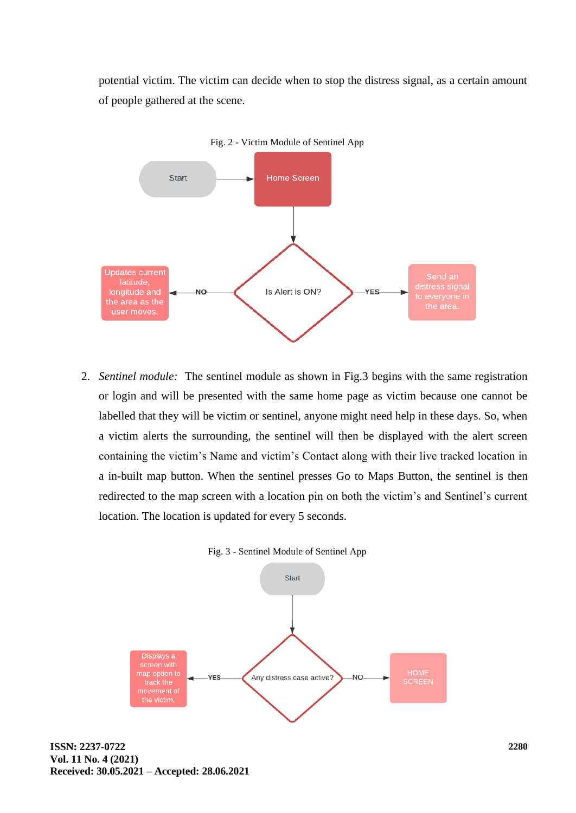potential victim. The victim can decide when to stop the distress signal, as a certain amount of people gathered at the scene.



2. *Sentinel module:* The sentinel module as shown in Fig.3 begins with the same registration or login and will be presented with the same home page as victim because one cannot be labelled that they will be victim or sentinel, anyone might need help in these days. So, when a victim alerts the surrounding, the sentinel will then be displayed with the alert screen containing the victim's Name and victim's Contact along with their live tracked location in a in-built map button. When the sentinel presses Go to Maps Button, the sentinel is then redirected to the map screen with a location pin on both the victim's and Sentinel's current location. The location is updated for every 5 seconds.



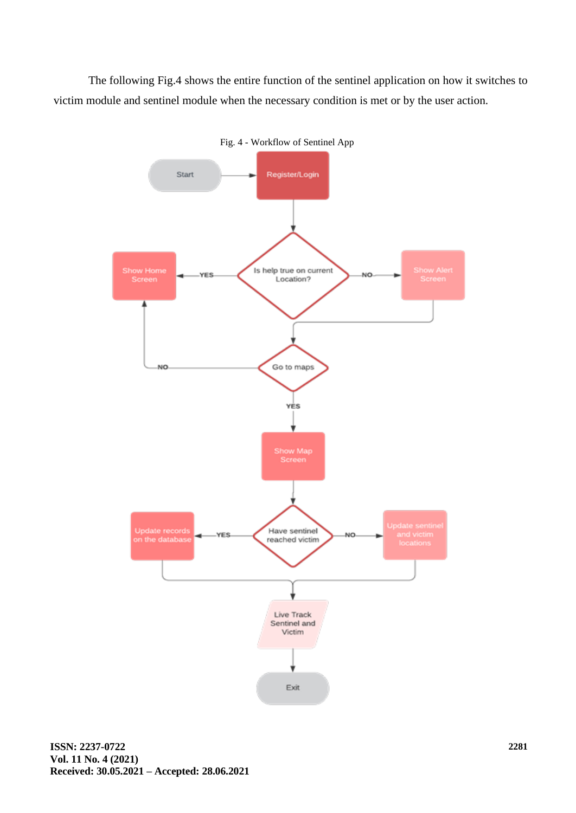The following Fig.4 shows the entire function of the sentinel application on how it switches to victim module and sentinel module when the necessary condition is met or by the user action.



Fig. 4 - Workflow of Sentinel App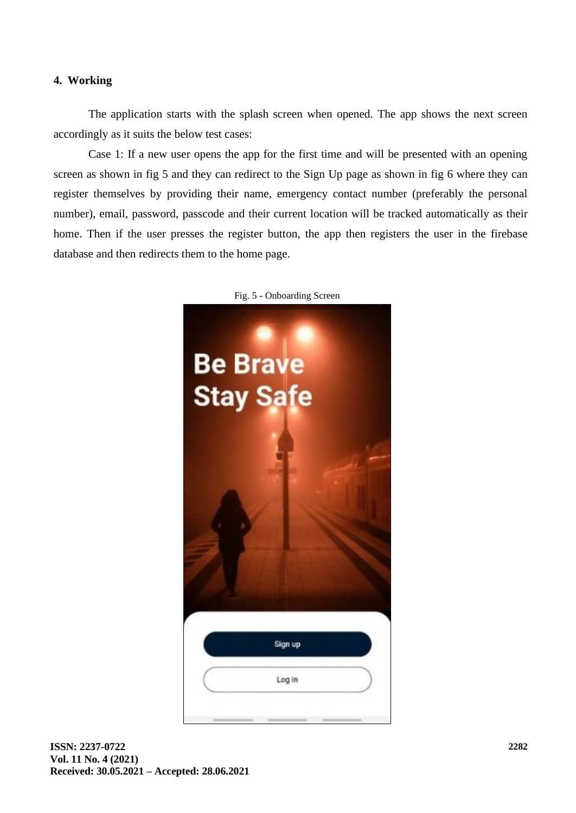## **4. Working**

The application starts with the splash screen when opened. The app shows the next screen accordingly as it suits the below test cases:

Case 1: If a new user opens the app for the first time and will be presented with an opening screen as shown in fig 5 and they can redirect to the Sign Up page as shown in fig 6 where they can register themselves by providing their name, emergency contact number (preferably the personal number), email, password, passcode and their current location will be tracked automatically as their home. Then if the user presses the register button, the app then registers the user in the firebase database and then redirects them to the home page.



Fig. 5 - Onboarding Screen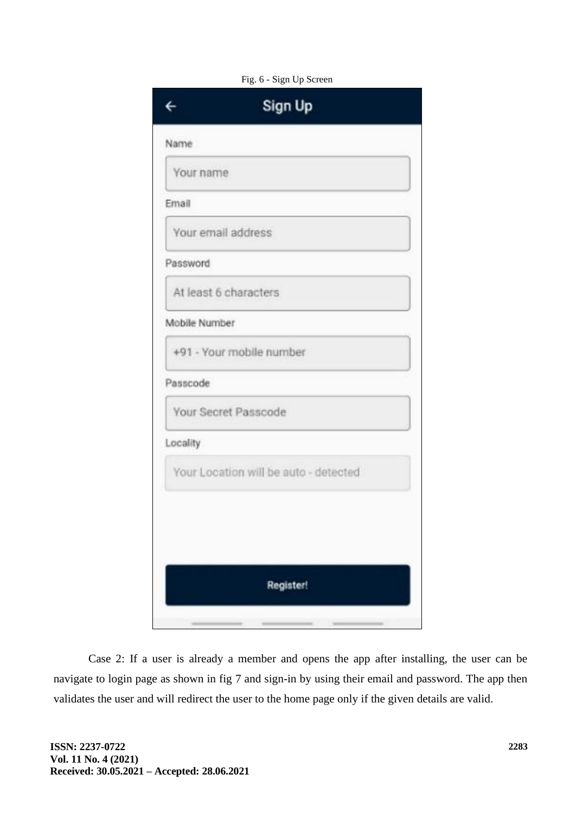|               | Sign Up                               |  |
|---------------|---------------------------------------|--|
| Name          |                                       |  |
| Your name     |                                       |  |
| Email         |                                       |  |
|               | Your email address                    |  |
| Password      |                                       |  |
|               | At least 6 characters                 |  |
| Mobile Number |                                       |  |
|               | +91 - Your mobile number              |  |
| Passcode      |                                       |  |
|               | Your Secret Passcode                  |  |
| Locality      |                                       |  |
|               | Your Location will be auto - detected |  |
|               |                                       |  |
|               |                                       |  |
|               | Register!                             |  |
|               |                                       |  |

Fig. 6 - Sign Up Screen

Case 2: If a user is already a member and opens the app after installing, the user can be navigate to login page as shown in fig 7 and sign-in by using their email and password. The app then validates the user and will redirect the user to the home page only if the given details are valid.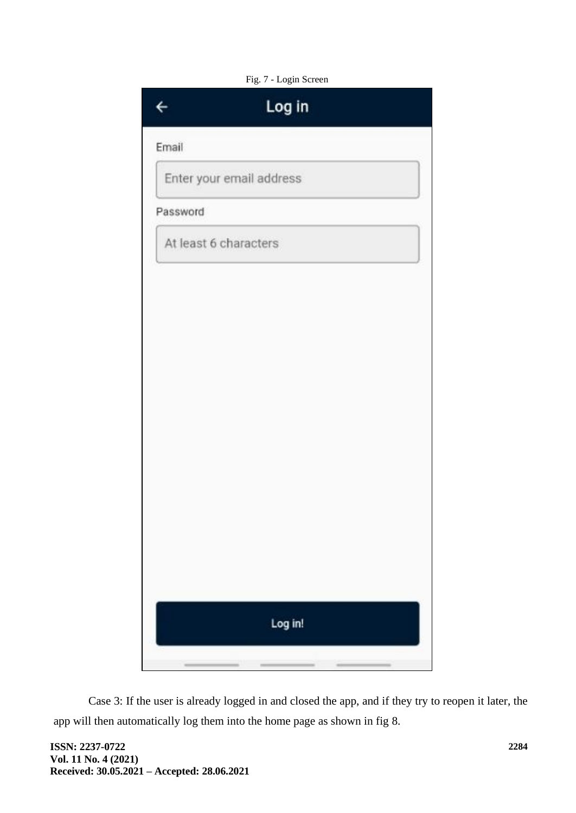

Case 3: If the user is already logged in and closed the app, and if they try to reopen it later, the app will then automatically log them into the home page as shown in fig 8.

**ISSN: 2237-0722 Vol. 11 No. 4 (2021) Received: 30.05.2021 – Accepted: 28.06.2021**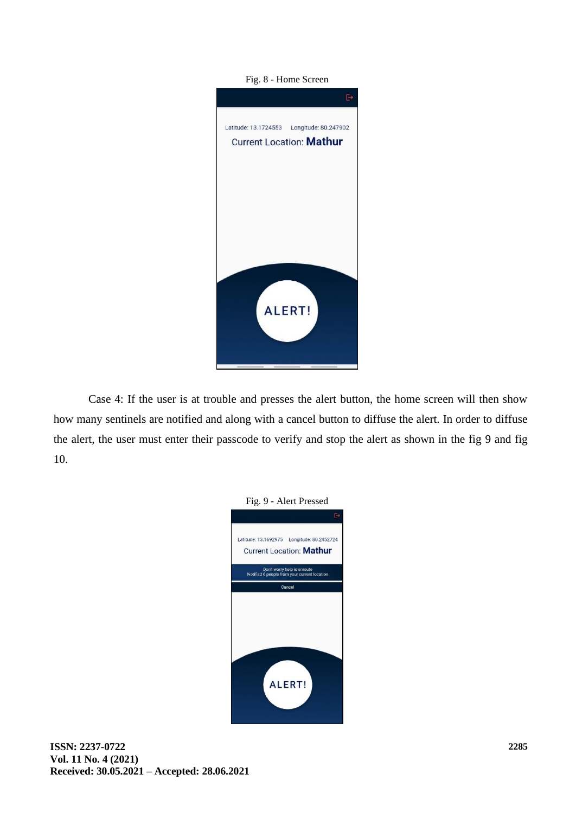

Case 4: If the user is at trouble and presses the alert button, the home screen will then show how many sentinels are notified and along with a cancel button to diffuse the alert. In order to diffuse the alert, the user must enter their passcode to verify and stop the alert as shown in the fig 9 and fig 10.

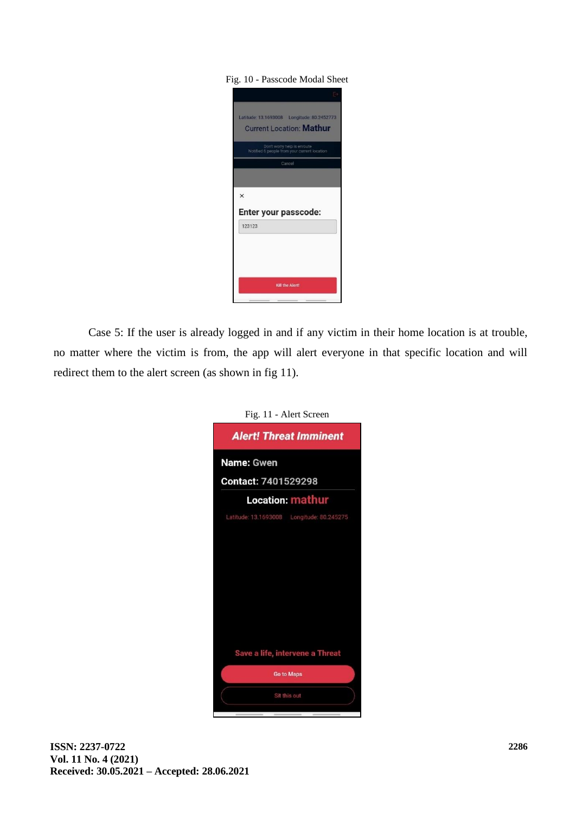#### Fig. 10 - Passcode Modal Sheet

| Latitude: 13.1693008    Longitude: 80.2452773<br><b>Current Location: Mathur</b> |
|----------------------------------------------------------------------------------|
| Don't worry help is enroute<br>Notified 6 people from your current location      |
| Cancel                                                                           |
|                                                                                  |
| $\times$                                                                         |
| Enter your passcode:                                                             |
| 123123                                                                           |
| Kill the Alert!                                                                  |
|                                                                                  |

Case 5: If the user is already logged in and if any victim in their home location is at trouble, no matter where the victim is from, the app will alert everyone in that specific location and will redirect them to the alert screen (as shown in fig 11).

| Fig. 11 - Alert Screen                                                                                                                                                                                                                                                                                                                                                                                                                                                                                                                                                                                                                                                                                                                                                                                                                                                                                                                                                 |  |  |  |  |
|------------------------------------------------------------------------------------------------------------------------------------------------------------------------------------------------------------------------------------------------------------------------------------------------------------------------------------------------------------------------------------------------------------------------------------------------------------------------------------------------------------------------------------------------------------------------------------------------------------------------------------------------------------------------------------------------------------------------------------------------------------------------------------------------------------------------------------------------------------------------------------------------------------------------------------------------------------------------|--|--|--|--|
| <b>Alert! Threat Imminent</b>                                                                                                                                                                                                                                                                                                                                                                                                                                                                                                                                                                                                                                                                                                                                                                                                                                                                                                                                          |  |  |  |  |
| <b>Name: Gwen</b>                                                                                                                                                                                                                                                                                                                                                                                                                                                                                                                                                                                                                                                                                                                                                                                                                                                                                                                                                      |  |  |  |  |
| <b>Contact: 7401529298</b>                                                                                                                                                                                                                                                                                                                                                                                                                                                                                                                                                                                                                                                                                                                                                                                                                                                                                                                                             |  |  |  |  |
| Location: mathur                                                                                                                                                                                                                                                                                                                                                                                                                                                                                                                                                                                                                                                                                                                                                                                                                                                                                                                                                       |  |  |  |  |
| Latitude: 13.1693008    Longitude: 80.245275                                                                                                                                                                                                                                                                                                                                                                                                                                                                                                                                                                                                                                                                                                                                                                                                                                                                                                                           |  |  |  |  |
|                                                                                                                                                                                                                                                                                                                                                                                                                                                                                                                                                                                                                                                                                                                                                                                                                                                                                                                                                                        |  |  |  |  |
|                                                                                                                                                                                                                                                                                                                                                                                                                                                                                                                                                                                                                                                                                                                                                                                                                                                                                                                                                                        |  |  |  |  |
|                                                                                                                                                                                                                                                                                                                                                                                                                                                                                                                                                                                                                                                                                                                                                                                                                                                                                                                                                                        |  |  |  |  |
|                                                                                                                                                                                                                                                                                                                                                                                                                                                                                                                                                                                                                                                                                                                                                                                                                                                                                                                                                                        |  |  |  |  |
|                                                                                                                                                                                                                                                                                                                                                                                                                                                                                                                                                                                                                                                                                                                                                                                                                                                                                                                                                                        |  |  |  |  |
|                                                                                                                                                                                                                                                                                                                                                                                                                                                                                                                                                                                                                                                                                                                                                                                                                                                                                                                                                                        |  |  |  |  |
|                                                                                                                                                                                                                                                                                                                                                                                                                                                                                                                                                                                                                                                                                                                                                                                                                                                                                                                                                                        |  |  |  |  |
| Save a life, intervene a Threat                                                                                                                                                                                                                                                                                                                                                                                                                                                                                                                                                                                                                                                                                                                                                                                                                                                                                                                                        |  |  |  |  |
| <b>Go to Maps</b>                                                                                                                                                                                                                                                                                                                                                                                                                                                                                                                                                                                                                                                                                                                                                                                                                                                                                                                                                      |  |  |  |  |
| Sit this out                                                                                                                                                                                                                                                                                                                                                                                                                                                                                                                                                                                                                                                                                                                                                                                                                                                                                                                                                           |  |  |  |  |
| $\frac{1}{2}$<br>$\frac{1}{2} \left( \frac{1}{2} \right)^2 \left( \frac{1}{2} \right)^2 \left( \frac{1}{2} \right)^2 \left( \frac{1}{2} \right)^2 \left( \frac{1}{2} \right)^2 \left( \frac{1}{2} \right)^2 \left( \frac{1}{2} \right)^2 \left( \frac{1}{2} \right)^2 \left( \frac{1}{2} \right)^2 \left( \frac{1}{2} \right)^2 \left( \frac{1}{2} \right)^2 \left( \frac{1}{2} \right)^2 \left( \frac{1}{2} \right)^2 \left( \frac{1}{2} \right)^2 \left( \frac{1}{2} \right)^2 \left($<br>$\frac{1}{2} \left( \frac{1}{2} \right) \left( \frac{1}{2} \right) \left( \frac{1}{2} \right) \left( \frac{1}{2} \right) \left( \frac{1}{2} \right) \left( \frac{1}{2} \right) \left( \frac{1}{2} \right) \left( \frac{1}{2} \right) \left( \frac{1}{2} \right) \left( \frac{1}{2} \right) \left( \frac{1}{2} \right) \left( \frac{1}{2} \right) \left( \frac{1}{2} \right) \left( \frac{1}{2} \right) \left( \frac{1}{2} \right) \left( \frac{1}{2} \right) \left( \frac$ |  |  |  |  |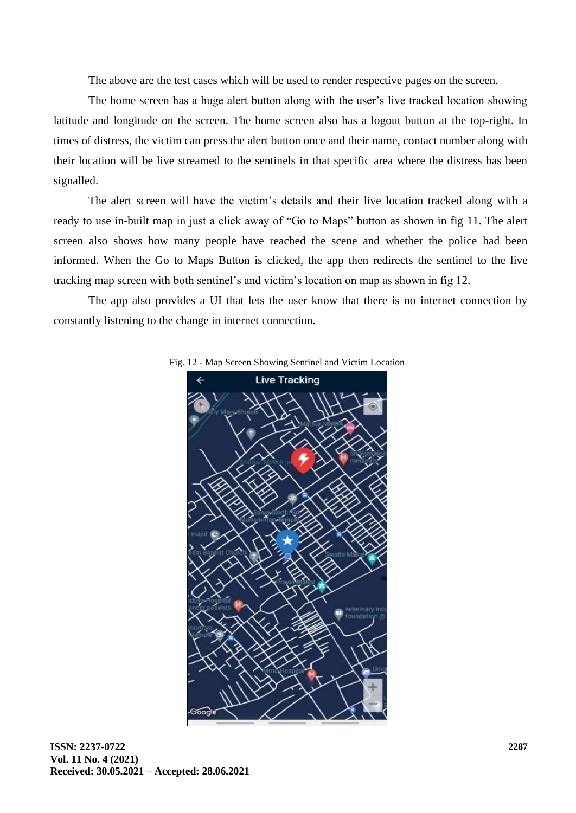The above are the test cases which will be used to render respective pages on the screen.

The home screen has a huge alert button along with the user's live tracked location showing latitude and longitude on the screen. The home screen also has a logout button at the top-right. In times of distress, the victim can press the alert button once and their name, contact number along with their location will be live streamed to the sentinels in that specific area where the distress has been signalled.

The alert screen will have the victim's details and their live location tracked along with a ready to use in-built map in just a click away of "Go to Maps" button as shown in fig 11. The alert screen also shows how many people have reached the scene and whether the police had been informed. When the Go to Maps Button is clicked, the app then redirects the sentinel to the live tracking map screen with both sentinel's and victim's location on map as shown in fig 12.

The app also provides a UI that lets the user know that there is no internet connection by constantly listening to the change in internet connection.



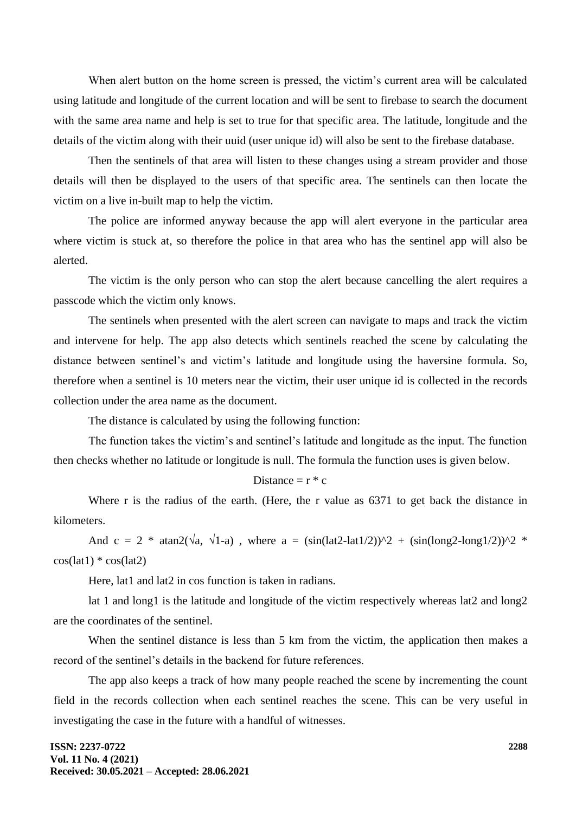When alert button on the home screen is pressed, the victim's current area will be calculated using latitude and longitude of the current location and will be sent to firebase to search the document with the same area name and help is set to true for that specific area. The latitude, longitude and the details of the victim along with their uuid (user unique id) will also be sent to the firebase database.

Then the sentinels of that area will listen to these changes using a stream provider and those details will then be displayed to the users of that specific area. The sentinels can then locate the victim on a live in-built map to help the victim.

The police are informed anyway because the app will alert everyone in the particular area where victim is stuck at, so therefore the police in that area who has the sentinel app will also be alerted.

The victim is the only person who can stop the alert because cancelling the alert requires a passcode which the victim only knows.

The sentinels when presented with the alert screen can navigate to maps and track the victim and intervene for help. The app also detects which sentinels reached the scene by calculating the distance between sentinel's and victim's latitude and longitude using the haversine formula. So, therefore when a sentinel is 10 meters near the victim, their user unique id is collected in the records collection under the area name as the document.

The distance is calculated by using the following function:

The function takes the victim's and sentinel's latitude and longitude as the input. The function then checks whether no latitude or longitude is null. The formula the function uses is given below.

# Distance  $=r * c$

Where r is the radius of the earth. (Here, the r value as 6371 to get back the distance in kilometers.

And c = 2 \* atan2( $\sqrt{a}$ ,  $\sqrt{1-a}$ ), where a = (sin(lat2-lat1/2))^2 + (sin(long2-long1/2))^2 \*  $cos(lat) * cos(lat2)$ 

Here, lat1 and lat2 in cos function is taken in radians.

lat 1 and long1 is the latitude and longitude of the victim respectively whereas lat2 and long2 are the coordinates of the sentinel.

When the sentinel distance is less than 5 km from the victim, the application then makes a record of the sentinel's details in the backend for future references.

The app also keeps a track of how many people reached the scene by incrementing the count field in the records collection when each sentinel reaches the scene. This can be very useful in investigating the case in the future with a handful of witnesses.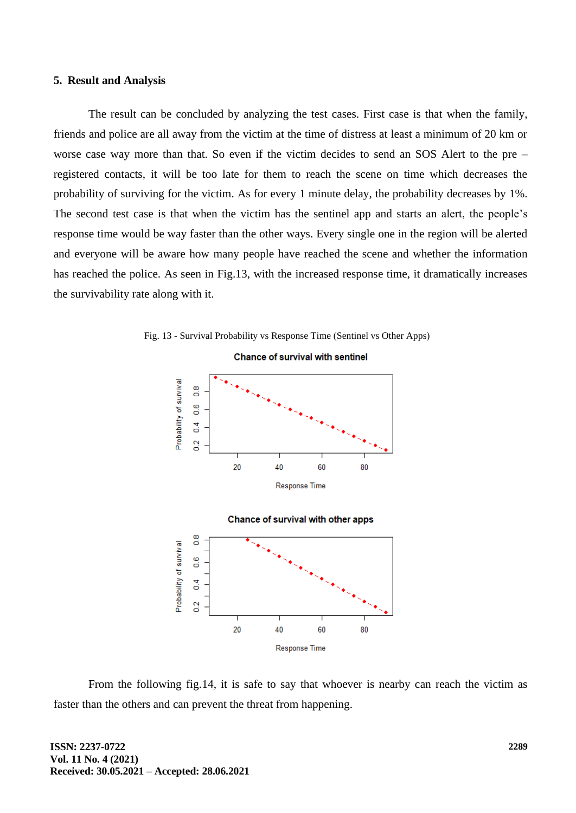#### **5. Result and Analysis**

The result can be concluded by analyzing the test cases. First case is that when the family, friends and police are all away from the victim at the time of distress at least a minimum of 20 km or worse case way more than that. So even if the victim decides to send an SOS Alert to the pre – registered contacts, it will be too late for them to reach the scene on time which decreases the probability of surviving for the victim. As for every 1 minute delay, the probability decreases by 1%. The second test case is that when the victim has the sentinel app and starts an alert, the people's response time would be way faster than the other ways. Every single one in the region will be alerted and everyone will be aware how many people have reached the scene and whether the information has reached the police. As seen in Fig.13, with the increased response time, it dramatically increases the survivability rate along with it.



Fig. 13 - Survival Probability vs Response Time (Sentinel vs Other Apps)



From the following fig.14, it is safe to say that whoever is nearby can reach the victim as faster than the others and can prevent the threat from happening.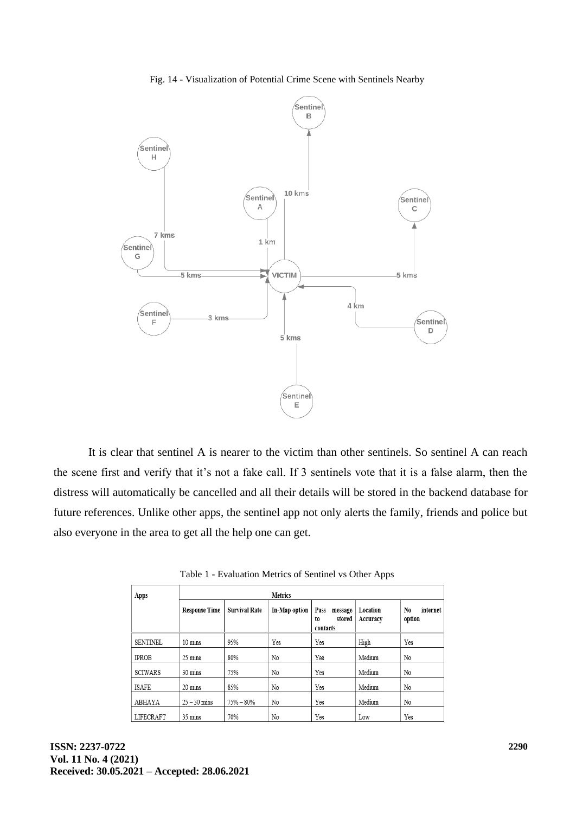#### Fig. 14 - Visualization of Potential Crime Scene with Sentinels Nearby



It is clear that sentinel A is nearer to the victim than other sentinels. So sentinel A can reach the scene first and verify that it's not a fake call. If 3 sentinels vote that it is a false alarm, then the distress will automatically be cancelled and all their details will be stored in the backend database for future references. Unlike other apps, the sentinel app not only alerts the family, friends and police but also everyone in the area to get all the help one can get.

| Apps            | <b>Metrics</b>       |                      |               |                                             |                      |                          |
|-----------------|----------------------|----------------------|---------------|---------------------------------------------|----------------------|--------------------------|
|                 | <b>Response Time</b> | <b>Survival Rate</b> | In-Map option | Pass<br>message<br>stored<br>to<br>contacts | Location<br>Accuracy | No<br>internet<br>option |
| <b>SENTINEL</b> | $10 \text{ mins}$    | 95%                  | Yes           | Yes                                         | High                 | Yes                      |
| <b>IPROB</b>    | 25 mins              | 80%                  | No            | Yes                                         | Medium               | No                       |
| <b>SCIWARS</b>  | 30 mins              | 75%                  | No            | Yes                                         | Medium               | No                       |
| ISAFE           | 20 mins              | 85%                  | No            | Yes                                         | Medium               | No                       |
| ABHAYA          | $25 - 30$ mins       | $75% - 80%$          | No            | Yes                                         | Medium               | No                       |
| LIFECRAFT       | 35 mins              | 70%                  | No            | Yes                                         | Low                  | Yes                      |

|  | Table 1 - Evaluation Metrics of Sentinel vs Other Apps |  |  |  |  |  |
|--|--------------------------------------------------------|--|--|--|--|--|
|--|--------------------------------------------------------|--|--|--|--|--|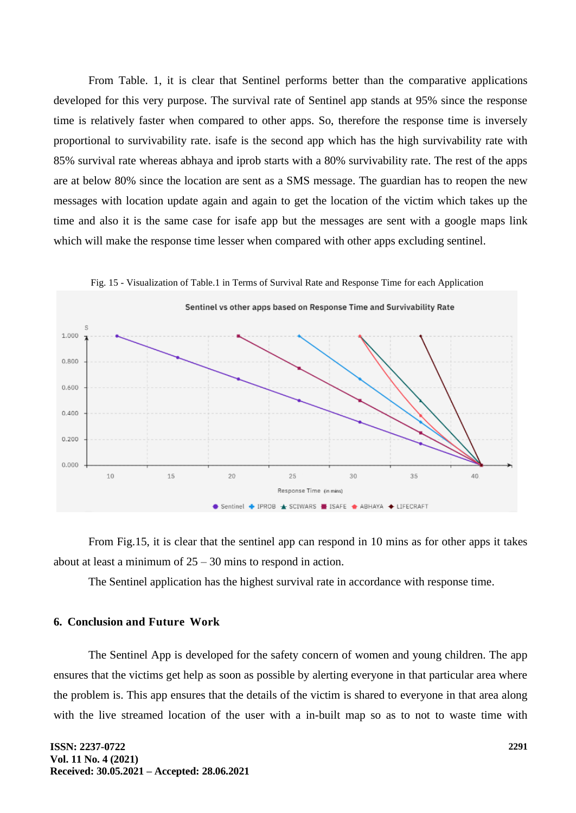From Table. 1, it is clear that Sentinel performs better than the comparative applications developed for this very purpose. The survival rate of Sentinel app stands at 95% since the response time is relatively faster when compared to other apps. So, therefore the response time is inversely proportional to survivability rate. isafe is the second app which has the high survivability rate with 85% survival rate whereas abhaya and iprob starts with a 80% survivability rate. The rest of the apps are at below 80% since the location are sent as a SMS message. The guardian has to reopen the new messages with location update again and again to get the location of the victim which takes up the time and also it is the same case for isafe app but the messages are sent with a google maps link which will make the response time lesser when compared with other apps excluding sentinel.



From Fig.15, it is clear that the sentinel app can respond in 10 mins as for other apps it takes about at least a minimum of  $25 - 30$  mins to respond in action.

The Sentinel application has the highest survival rate in accordance with response time.

# **6. Conclusion and Future Work**

The Sentinel App is developed for the safety concern of women and young children. The app ensures that the victims get help as soon as possible by alerting everyone in that particular area where the problem is. This app ensures that the details of the victim is shared to everyone in that area along with the live streamed location of the user with a in-built map so as to not to waste time with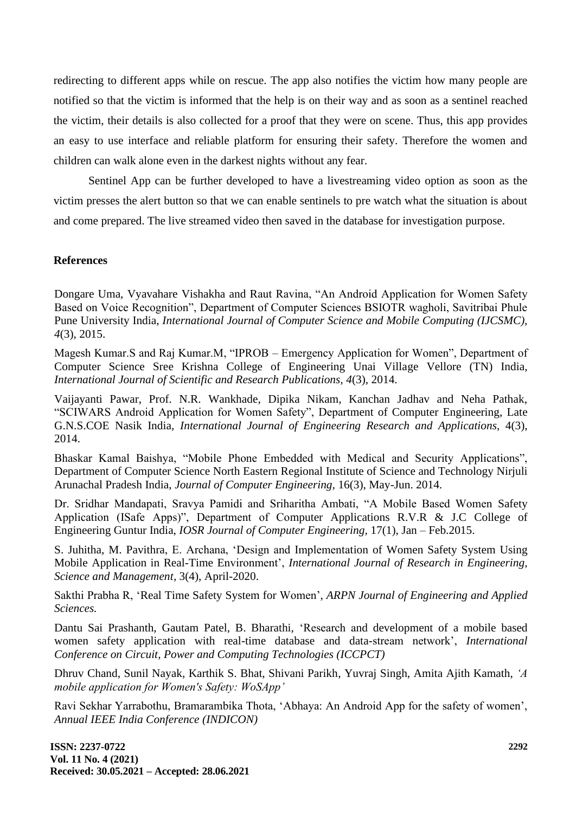redirecting to different apps while on rescue. The app also notifies the victim how many people are notified so that the victim is informed that the help is on their way and as soon as a sentinel reached the victim, their details is also collected for a proof that they were on scene. Thus, this app provides an easy to use interface and reliable platform for ensuring their safety. Therefore the women and children can walk alone even in the darkest nights without any fear.

Sentinel App can be further developed to have a livestreaming video option as soon as the victim presses the alert button so that we can enable sentinels to pre watch what the situation is about and come prepared. The live streamed video then saved in the database for investigation purpose.

#### **References**

Dongare Uma, Vyavahare Vishakha and Raut Ravina, "An Android Application for Women Safety Based on Voice Recognition", Department of Computer Sciences BSIOTR wagholi, Savitribai Phule Pune University India, *International Journal of Computer Science and Mobile Computing (IJCSMC), 4*(3), 2015.

Magesh Kumar.S and Raj Kumar.M, "IPROB – Emergency Application for Women", Department of Computer Science Sree Krishna College of Engineering Unai Village Vellore (TN) India, *International Journal of Scientific and Research Publications, 4*(3), 2014.

Vaijayanti Pawar, Prof. N.R. Wankhade, Dipika Nikam, Kanchan Jadhav and Neha Pathak, "SCIWARS Android Application for Women Safety", Department of Computer Engineering, Late G.N.S.COE Nasik India, *International Journal of Engineering Research and Applications,* 4(3), 2014.

Bhaskar Kamal Baishya, "Mobile Phone Embedded with Medical and Security Applications", Department of Computer Science North Eastern Regional Institute of Science and Technology Nirjuli Arunachal Pradesh India, *Journal of Computer Engineering,* 16(3), May-Jun. 2014.

Dr. Sridhar Mandapati, Sravya Pamidi and Sriharitha Ambati, "A Mobile Based Women Safety Application (ISafe Apps)", Department of Computer Applications R.V.R & J.C College of Engineering Guntur India, *IOSR Journal of Computer Engineering,* 17(1), Jan – Feb.2015.

S. Juhitha, M. Pavithra, E. Archana, 'Design and Implementation of Women Safety System Using Mobile Application in Real-Time Environment', *International Journal of Research in Engineering, Science and Management,* 3(4), April-2020.

Sakthi Prabha R, 'Real Time Safety System for Women', *ARPN Journal of Engineering and Applied Sciences.*

Dantu Sai Prashanth, Gautam Patel, B. Bharathi, 'Research and development of a mobile based women safety application with real-time database and data-stream network', *International Conference on Circuit, Power and Computing Technologies (ICCPCT)*

Dhruv Chand, Sunil Nayak, Karthik S. Bhat, Shivani Parikh, Yuvraj Singh, Amita Ajith Kamath, *'A mobile application for Women's Safety: WoSApp'*

Ravi Sekhar Yarrabothu, Bramarambika Thota, 'Abhaya: An Android App for the safety of women', *Annual IEEE India Conference (INDICON)*